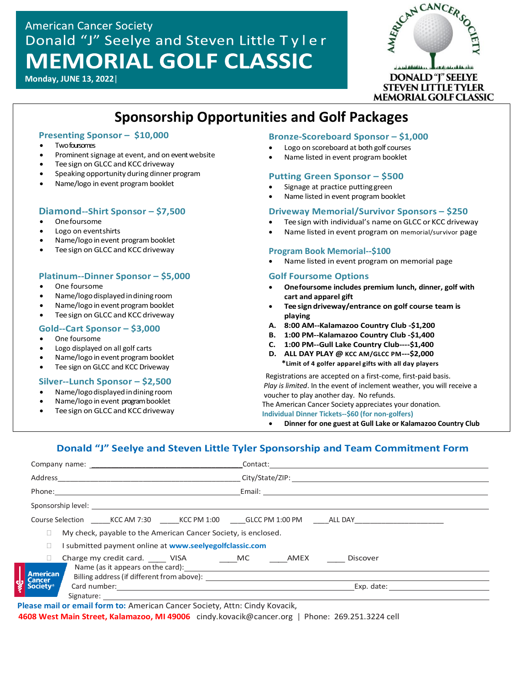# **American Cancer Society** Donald "J" Seelye and Steven Little Tyler **MEMORIAL GOLF CLASSIC**

**Monday, JUNE 13, 2022**|



# **Sponsorship Opportunities and Golf Packages**

# **Presenting Sponsor – \$10,000**

- Twofoursomes
- Prominent signage at event, and on event website
- Tee sign on GLCC and KCC driveway
- Speaking opportunity during dinner program
- Name/logo in event program booklet

# **Diamond--Shirt Sponsor – \$7,500**

- Onefoursome
- Logo on eventshirts and Steven Little Tyler. The memory Donald Tyler. The memory Donald Tyler. The memory Donald Tyler. The memory Donald Tyler. The memory Donald Tyler. The memory Donald Tyler. The memory Donald Tyler.
- Name/logo in event program booklet<br>• Name/logoinevent program booklet
- Tee sign on GLCC and KCC driveway

# **Platinum--Dinner Sponsor – \$5,000**

- One foursome
- Name/logodisplayedindining room
- Name/logo in event program booklet
- Tee sign on GLCC and KCC driveway

#### **Gold--Cart Sponsor – \$3,000**

- One foursome
- Logo displayed on all golf carts
- Name/logo in event program booklet
- Tee sign on GLCC and KCC Driveway

## **Silver--Lunch Sponsor – \$2,500**

- Name/logodisplayedindining room
- Name/logo in event program booklet
- Tee sign on GLCC and KCC driveway

## **Bronze-Scoreboard Sponsor – \$1,000**

- Logo on scoreboard at both golf courses
- Name listed in event program booklet

## **Putting Green Sponsor – \$500**

- Signage at practice puttinggreen
- Name listed in event program booklet

## **Driveway Memorial/Survivor Sponsors – \$250**

- <u>Diamond Sime Sponsor (27,000</u><br>● Onefoursome Peesign with individual's name on GLCC or KCC driveway
	- Name listed in event program on memorial/survivor page

## **Program Book Memorial--\$100**

• Name listed in event program on memorial page

## **Golf Foursome Options**

- **Onefoursome includes premium lunch, dinner, golf with cart and apparel gift**
- **Teesign driveway/entrance on golf course team is playing**
- **A. 8:00 AM--Kalamazoo Country Club -\$1,200**
- **B. 1:00 PM--Kalamazoo Country Club -\$1,400**
- **C. 1:00 PM--Gull Lake Country Club----\$1,400**
- **D. ALL DAY PLAY @ KCC AM/GLCC PM---\$2,000 \*Limit of 4 golfer apparel gifts with all day players**

 Registrations are accepted on a first-come, first-paid basis.  *Play is limited*. In the event of inclement weather, you will receive a voucher to play another day. No refunds. The American Cancer Society appreciates your donation.  **Individual Dinner Tickets--\$60 (for non-golfers)**

• **Dinner for one guest at Gull Lake or Kalamazoo Country Club**

# **Donald "J" Seelye and Steven Little Tyler Sponsorship and Team Commitment Form**

| Phone: Email: Email: Email: Email: Email: Email: Email: Email: Email: Email: Email: Email: Email: Email: Email: Email: Email: Email: Email: Email: Email: Email: Email: Email: Email: Email: Email: Email: Email: Email: Email |            |
|--------------------------------------------------------------------------------------------------------------------------------------------------------------------------------------------------------------------------------|------------|
| Sponsorship level: <u>www.common.common.common.common.common.com</u>                                                                                                                                                           |            |
| Course Selection _______ KCC AM 7:30 _______ KCC PM 1:00 ______ GLCC PM 1:00 PM ______ ALL DAY ______________                                                                                                                  |            |
| My check, payable to the American Cancer Society, is enclosed.                                                                                                                                                                 |            |
| I submitted payment online at www.seelyegolfclassic.com                                                                                                                                                                        |            |
| Charge my credit card. ______ VISA _________ MC _______AMEX _______ Discover<br>$\Box$                                                                                                                                         |            |
| <b>American</b><br><b>Cancer</b>                                                                                                                                                                                               |            |
| <b>Society®</b>                                                                                                                                                                                                                | Exp. date: |
|                                                                                                                                                                                                                                |            |

**Please mail or email form to:** American Cancer Society, Attn: Cindy Kovacik,

**4608 West Main Street, Kalamazoo, MI 49006** [cindy.kovacik@cancer.org](mailto:cindy.kovacik@cancer.org) | Phone: 269.251.3224 cell